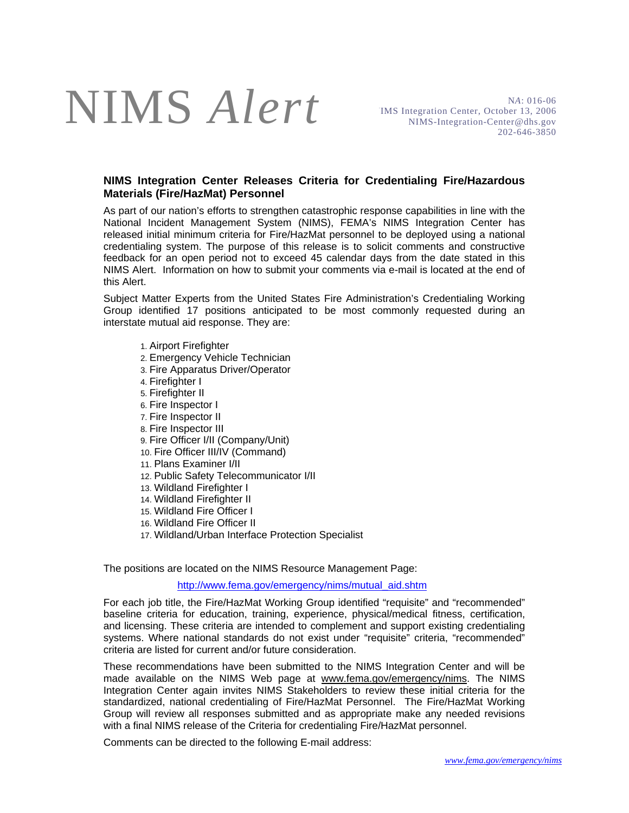## NIMS *Alert*

N*A*: 016-06 IMS Integration Center, October 13, 2006 NIMS-Integration-Center@dhs.gov 202-646-3850

## **NIMS Integration Center Releases Criteria for Credentialing Fire/Hazardous Materials (Fire/HazMat) Personnel**

As part of our nation's efforts to strengthen catastrophic response capabilities in line with the National Incident Management System (NIMS), FEMA's NIMS Integration Center has released initial minimum criteria for Fire/HazMat personnel to be deployed using a national credentialing system. The purpose of this release is to solicit comments and constructive feedback for an open period not to exceed 45 calendar days from the date stated in this NIMS Alert. Information on how to submit your comments via e-mail is located at the end of this Alert.

Subject Matter Experts from the United States Fire Administration's Credentialing Working Group identified 17 positions anticipated to be most commonly requested during an interstate mutual aid response. They are:

- 1. Airport Firefighter
- 2. Emergency Vehicle Technician
- 3. Fire Apparatus Driver/Operator
- 4. Firefighter I
- 5. Firefighter II
- 6. Fire Inspector I
- 7. Fire Inspector II
- 8. Fire Inspector III
- 9. Fire Officer I/II (Company/Unit)
- 10. Fire Officer III/IV (Command)
- 11. Plans Examiner I/II
- 12. Public Safety Telecommunicator I/II
- 13. Wildland Firefighter I
- 14. Wildland Firefighter II
- 15. Wildland Fire Officer I
- 16. Wildland Fire Officer II
- 17. Wildland/Urban Interface Protection Specialist

The positions are located on the NIMS Resource Management Page:

http://www.fema.gov/emergency/nims/mutual\_aid.shtm

For each job title, the Fire/HazMat Working Group identified "requisite" and "recommended" baseline criteria for education, training, experience, physical/medical fitness, certification, and licensing. These criteria are intended to complement and support existing credentialing systems. Where national standards do not exist under "requisite" criteria, "recommended" criteria are listed for current and/or future consideration.

These recommendations have been submitted to the NIMS Integration Center and will be made available on the NIMS Web page at www.fema.gov/emergency/nims. The NIMS Integration Center again invites NIMS Stakeholders to review these initial criteria for the standardized, national credentialing of Fire/HazMat Personnel. The Fire/HazMat Working Group will review all responses submitted and as appropriate make any needed revisions with a final NIMS release of the Criteria for credentialing Fire/HazMat personnel.

Comments can be directed to the following E-mail address: